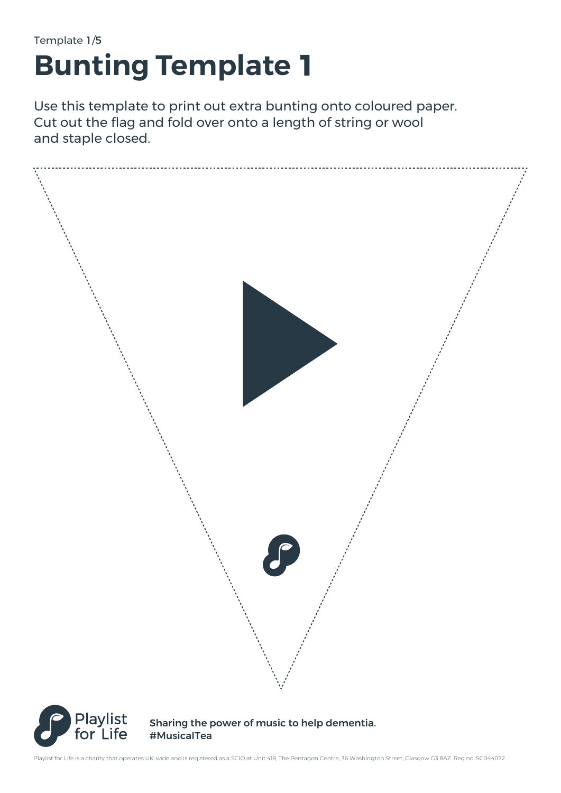## Template 1/5 **Bunting Template 1**

Use this template to print out extra bunting onto coloured paper. Cut out the flag and fold over onto a length of string or wool and staple closed.



#MusicalTea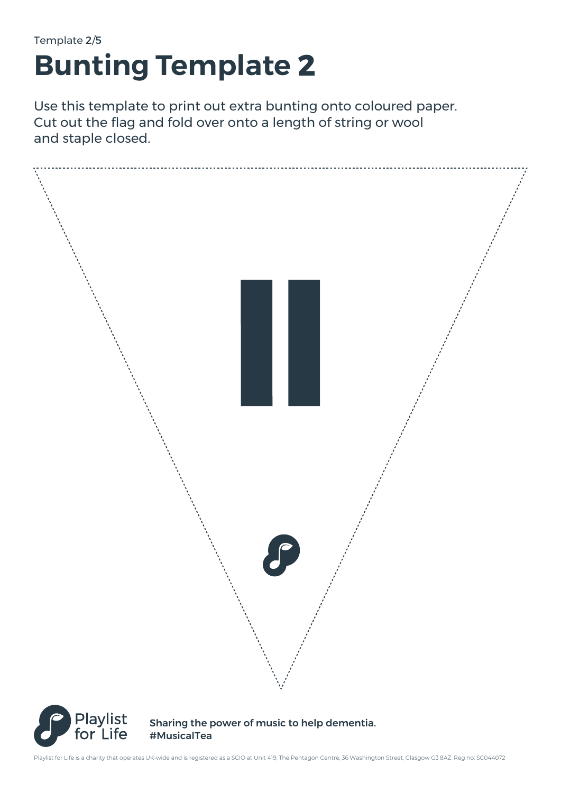# Template 2/5 **Bunting Template 2**

Use this template to print out extra bunting onto coloured paper. Cut out the flag and fold over onto a length of string or wool and staple closed.



#MusicalTea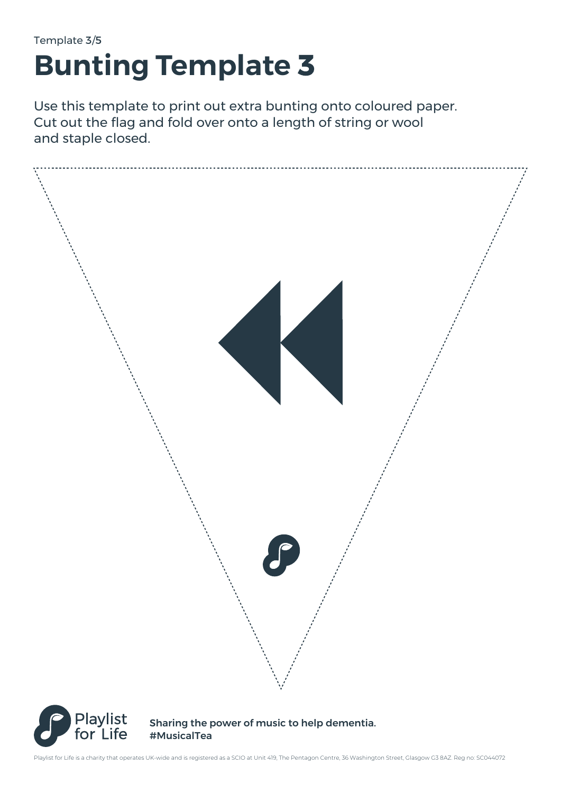## Template 3/5 **Bunting Template 3**

Use this template to print out extra bunting onto coloured paper. Cut out the flag and fold over onto a length of string or wool and staple closed.





Sharing the power of music to help dementia. #MusicalTea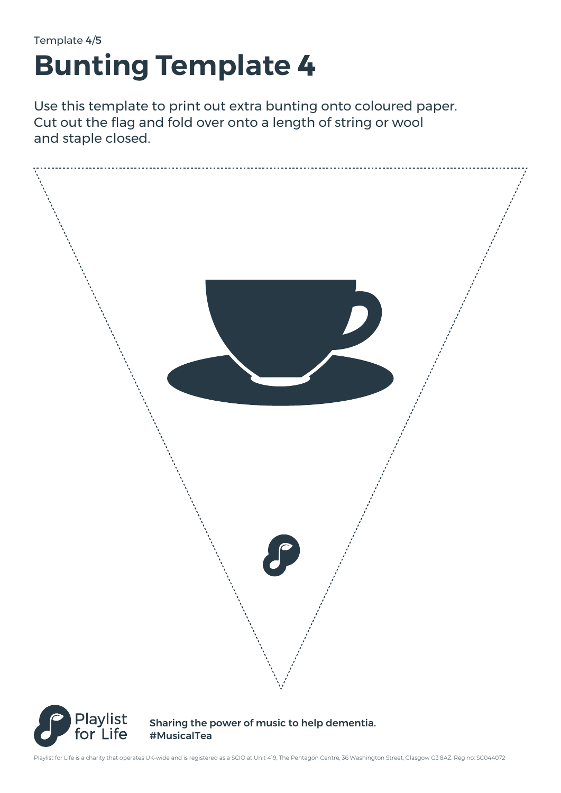## Template 4/5 **Bunting Template 4**

Use this template to print out extra bunting onto coloured paper. Cut out the flag and fold over onto a length of string or wool and staple closed.





Sharing the power of music to help dementia. #MusicalTea